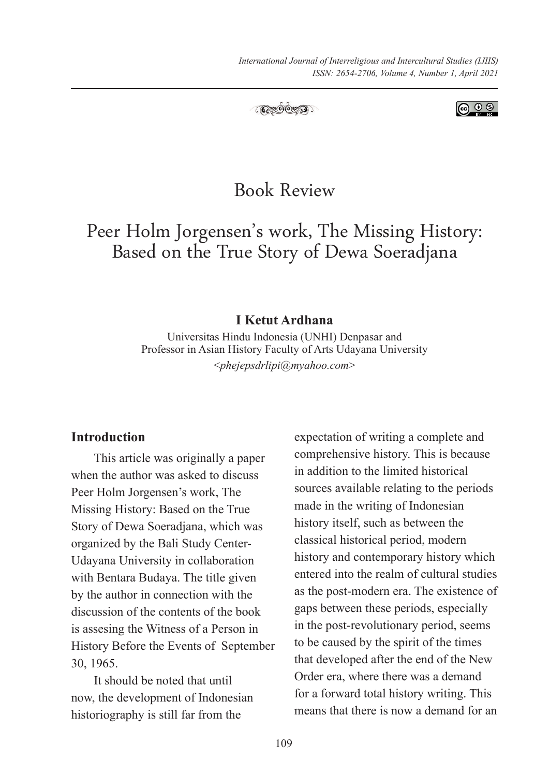



# Book Review

Peer Holm Jorgensen's work, The Missing History: Based on the True Story of Dewa Soeradjana

#### **I Ketut Ardhana**

Universitas Hindu Indonesia (UNHI) Denpasar and Professor in Asian History Faculty of Arts Udayana University <*phejepsdrlipi@myahoo.com*>

#### **Introduction**

This article was originally a paper when the author was asked to discuss Peer Holm Jorgensen's work, The Missing History: Based on the True Story of Dewa Soeradjana, which was organized by the Bali Study Center-Udayana University in collaboration with Bentara Budaya. The title given by the author in connection with the discussion of the contents of the book is assesing the Witness of a Person in History Before the Events of September 30, 1965.

It should be noted that until now, the development of Indonesian historiography is still far from the

expectation of writing a complete and comprehensive history. This is because in addition to the limited historical sources available relating to the periods made in the writing of Indonesian history itself, such as between the classical historical period, modern history and contemporary history which entered into the realm of cultural studies as the post-modern era. The existence of gaps between these periods, especially in the post-revolutionary period, seems to be caused by the spirit of the times that developed after the end of the New Order era, where there was a demand for a forward total history writing. This means that there is now a demand for an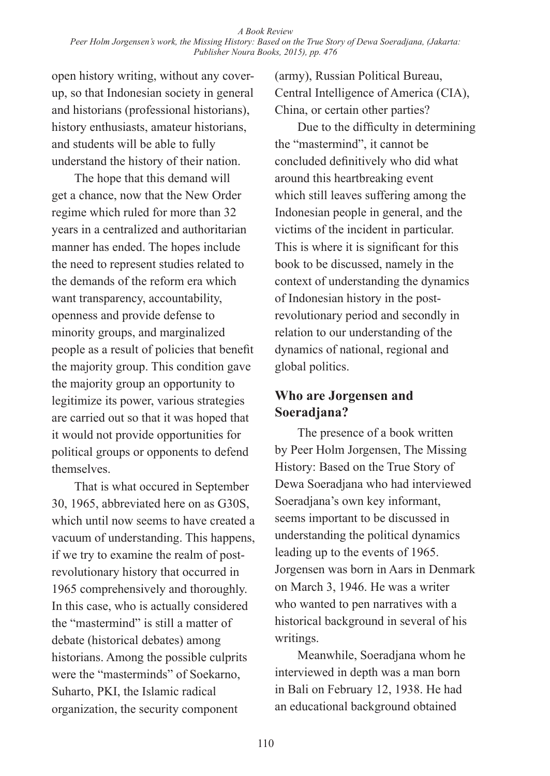open history writing, without any coverup, so that Indonesian society in general and historians (professional historians), history enthusiasts, amateur historians, and students will be able to fully understand the history of their nation.

The hope that this demand will get a chance, now that the New Order regime which ruled for more than 32 years in a centralized and authoritarian manner has ended. The hopes include the need to represent studies related to the demands of the reform era which want transparency, accountability, openness and provide defense to minority groups, and marginalized people as a result of policies that benefit the majority group. This condition gave the majority group an opportunity to legitimize its power, various strategies are carried out so that it was hoped that it would not provide opportunities for political groups or opponents to defend themselves.

That is what occured in September 30, 1965, abbreviated here on as G30S, which until now seems to have created a vacuum of understanding. This happens, if we try to examine the realm of postrevolutionary history that occurred in 1965 comprehensively and thoroughly. In this case, who is actually considered the "mastermind" is still a matter of debate (historical debates) among historians. Among the possible culprits were the "masterminds" of Soekarno, Suharto, PKI, the Islamic radical organization, the security component

(army), Russian Political Bureau, Central Intelligence of America (CIA), China, or certain other parties?

Due to the difficulty in determining the "mastermind", it cannot be concluded definitively who did what around this heartbreaking event which still leaves suffering among the Indonesian people in general, and the victims of the incident in particular. This is where it is significant for this book to be discussed, namely in the context of understanding the dynamics of Indonesian history in the postrevolutionary period and secondly in relation to our understanding of the dynamics of national, regional and global politics.

## **Who are Jorgensen and Soeradjana?**

The presence of a book written by Peer Holm Jorgensen, The Missing History: Based on the True Story of Dewa Soeradjana who had interviewed Soeradjana's own key informant, seems important to be discussed in understanding the political dynamics leading up to the events of 1965. Jorgensen was born in Aars in Denmark on March 3, 1946. He was a writer who wanted to pen narratives with a historical background in several of his writings.

Meanwhile, Soeradjana whom he interviewed in depth was a man born in Bali on February 12, 1938. He had an educational background obtained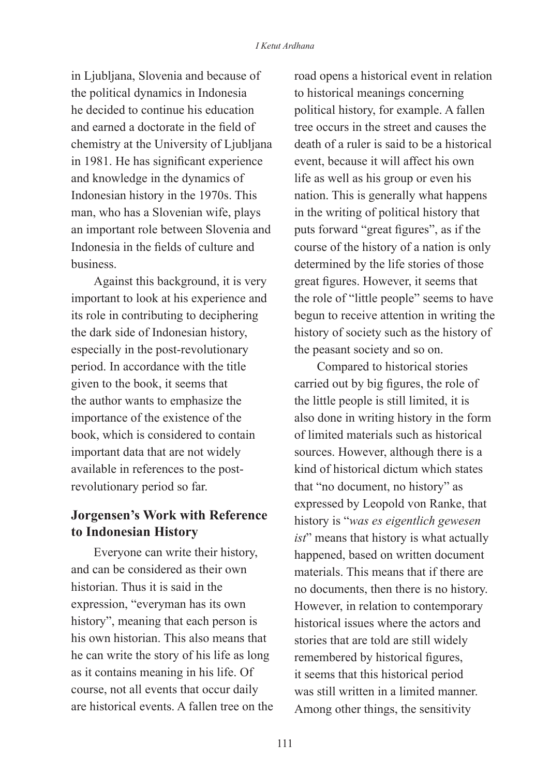in Ljubljana, Slovenia and because of the political dynamics in Indonesia he decided to continue his education and earned a doctorate in the field of chemistry at the University of Ljubljana in 1981. He has significant experience and knowledge in the dynamics of Indonesian history in the 1970s. This man, who has a Slovenian wife, plays an important role between Slovenia and Indonesia in the fields of culture and business.

Against this background, it is very important to look at his experience and its role in contributing to deciphering the dark side of Indonesian history, especially in the post-revolutionary period. In accordance with the title given to the book, it seems that the author wants to emphasize the importance of the existence of the book, which is considered to contain important data that are not widely available in references to the postrevolutionary period so far.

# **Jorgensen's Work with Reference to Indonesian History**

Everyone can write their history, and can be considered as their own historian. Thus it is said in the expression, "everyman has its own history", meaning that each person is his own historian. This also means that he can write the story of his life as long as it contains meaning in his life. Of course, not all events that occur daily are historical events. A fallen tree on the road opens a historical event in relation to historical meanings concerning political history, for example. A fallen tree occurs in the street and causes the death of a ruler is said to be a historical event, because it will affect his own life as well as his group or even his nation. This is generally what happens in the writing of political history that puts forward "great figures", as if the course of the history of a nation is only determined by the life stories of those great figures. However, it seems that the role of "little people" seems to have begun to receive attention in writing the history of society such as the history of the peasant society and so on.

Compared to historical stories carried out by big figures, the role of the little people is still limited, it is also done in writing history in the form of limited materials such as historical sources. However, although there is a kind of historical dictum which states that "no document, no history" as expressed by Leopold von Ranke, that history is "*was es eigentlich gewesen ist*" means that history is what actually happened, based on written document materials. This means that if there are no documents, then there is no history. However, in relation to contemporary historical issues where the actors and stories that are told are still widely remembered by historical figures, it seems that this historical period was still written in a limited manner. Among other things, the sensitivity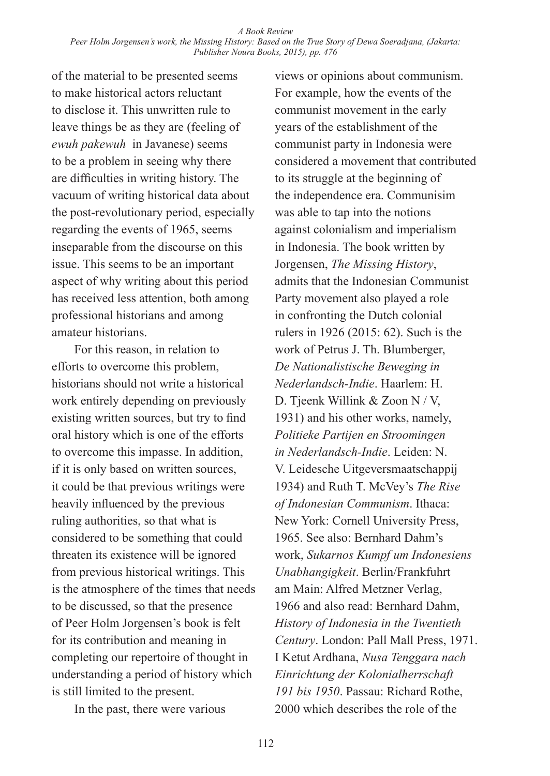of the material to be presented seems to make historical actors reluctant to disclose it. This unwritten rule to leave things be as they are (feeling of *ewuh pakewuh* in Javanese) seems to be a problem in seeing why there are difficulties in writing history. The vacuum of writing historical data about the post-revolutionary period, especially regarding the events of 1965, seems inseparable from the discourse on this issue. This seems to be an important aspect of why writing about this period has received less attention, both among professional historians and among amateur historians.

For this reason, in relation to efforts to overcome this problem, historians should not write a historical work entirely depending on previously existing written sources, but try to find oral history which is one of the efforts to overcome this impasse. In addition, if it is only based on written sources, it could be that previous writings were heavily influenced by the previous ruling authorities, so that what is considered to be something that could threaten its existence will be ignored from previous historical writings. This is the atmosphere of the times that needs to be discussed, so that the presence of Peer Holm Jorgensen's book is felt for its contribution and meaning in completing our repertoire of thought in understanding a period of history which is still limited to the present.

In the past, there were various

views or opinions about communism. For example, how the events of the communist movement in the early years of the establishment of the communist party in Indonesia were considered a movement that contributed to its struggle at the beginning of the independence era. Communisim was able to tap into the notions against colonialism and imperialism in Indonesia. The book written by Jorgensen, *The Missing History*, admits that the Indonesian Communist Party movement also played a role in confronting the Dutch colonial rulers in 1926 (2015: 62). Such is the work of Petrus J. Th. Blumberger, *De Nationalistische Beweging in Nederlandsch-Indie*. Haarlem: H. D. Tjeenk Willink & Zoon N / V, 1931) and his other works, namely, *Politieke Partijen en Stroomingen in Nederlandsch-Indie*. Leiden: N. V. Leidesche Uitgeversmaatschappij 1934) and Ruth T. McVey's *The Rise of Indonesian Communism*. Ithaca: New York: Cornell University Press, 1965. See also: Bernhard Dahm's work, *Sukarnos Kumpf um Indonesiens Unabhangigkeit*. Berlin/Frankfuhrt am Main: Alfred Metzner Verlag, 1966 and also read: Bernhard Dahm, *History of Indonesia in the Twentieth Century*. London: Pall Mall Press, 1971. I Ketut Ardhana, *Nusa Tenggara nach Einrichtung der Kolonialherrschaft 191 bis 1950*. Passau: Richard Rothe, 2000 which describes the role of the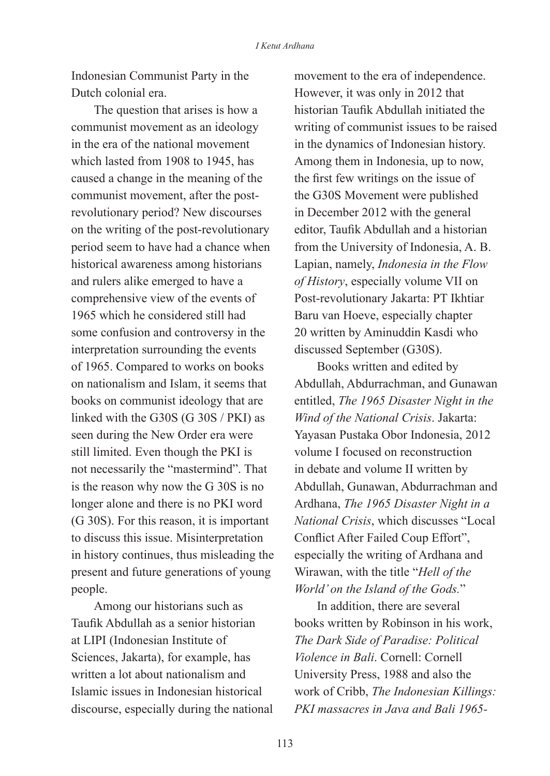Indonesian Communist Party in the Dutch colonial era.

The question that arises is how a communist movement as an ideology in the era of the national movement which lasted from 1908 to 1945, has caused a change in the meaning of the communist movement, after the postrevolutionary period? New discourses on the writing of the post-revolutionary period seem to have had a chance when historical awareness among historians and rulers alike emerged to have a comprehensive view of the events of 1965 which he considered still had some confusion and controversy in the interpretation surrounding the events of 1965. Compared to works on books on nationalism and Islam, it seems that books on communist ideology that are linked with the G30S (G 30S / PKI) as seen during the New Order era were still limited. Even though the PKI is not necessarily the "mastermind". That is the reason why now the G 30S is no longer alone and there is no PKI word (G 30S). For this reason, it is important to discuss this issue. Misinterpretation in history continues, thus misleading the present and future generations of young people.

Among our historians such as Taufik Abdullah as a senior historian at LIPI (Indonesian Institute of Sciences, Jakarta), for example, has written a lot about nationalism and Islamic issues in Indonesian historical discourse, especially during the national movement to the era of independence. However, it was only in 2012 that historian Taufik Abdullah initiated the writing of communist issues to be raised in the dynamics of Indonesian history. Among them in Indonesia, up to now, the first few writings on the issue of the G30S Movement were published in December 2012 with the general editor, Taufik Abdullah and a historian from the University of Indonesia, A. B. Lapian, namely, *Indonesia in the Flow of History*, especially volume VII on Post-revolutionary Jakarta: PT Ikhtiar Baru van Hoeve, especially chapter 20 written by Aminuddin Kasdi who discussed September (G30S).

Books written and edited by Abdullah, Abdurrachman, and Gunawan entitled, *The 1965 Disaster Night in the Wind of the National Crisis*. Jakarta: Yayasan Pustaka Obor Indonesia, 2012 volume I focused on reconstruction in debate and volume II written by Abdullah, Gunawan, Abdurrachman and Ardhana, *The 1965 Disaster Night in a National Crisis*, which discusses "Local Conflict After Failed Coup Effort", especially the writing of Ardhana and Wirawan, with the title "*Hell of the World' on the Island of the Gods.*"

In addition, there are several books written by Robinson in his work, *The Dark Side of Paradise: Political Violence in Bali*. Cornell: Cornell University Press, 1988 and also the work of Cribb, *The Indonesian Killings: PKI massacres in Java and Bali 1965-*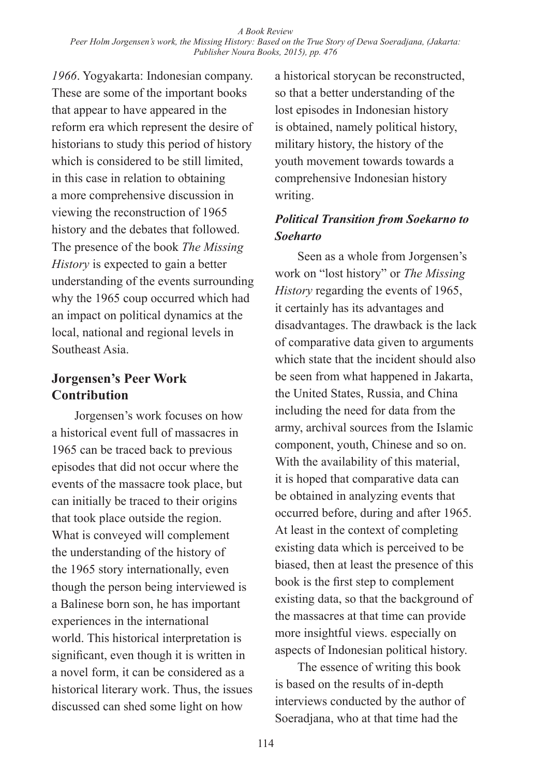*1966*. Yogyakarta: Indonesian company. These are some of the important books that appear to have appeared in the reform era which represent the desire of historians to study this period of history which is considered to be still limited, in this case in relation to obtaining a more comprehensive discussion in viewing the reconstruction of 1965 history and the debates that followed. The presence of the book *The Missing History* is expected to gain a better understanding of the events surrounding why the 1965 coup occurred which had an impact on political dynamics at the local, national and regional levels in Southeast Asia.

## **Jorgensen's Peer Work Contribution**

Jorgensen's work focuses on how a historical event full of massacres in 1965 can be traced back to previous episodes that did not occur where the events of the massacre took place, but can initially be traced to their origins that took place outside the region. What is conveyed will complement the understanding of the history of the 1965 story internationally, even though the person being interviewed is a Balinese born son, he has important experiences in the international world. This historical interpretation is significant, even though it is written in a novel form, it can be considered as a historical literary work. Thus, the issues discussed can shed some light on how

a historical storycan be reconstructed, so that a better understanding of the lost episodes in Indonesian history is obtained, namely political history, military history, the history of the youth movement towards towards a comprehensive Indonesian history writing.

#### *Political Transition from Soekarno to Soeharto*

Seen as a whole from Jorgensen's work on "lost history" or *The Missing History* regarding the events of 1965, it certainly has its advantages and disadvantages. The drawback is the lack of comparative data given to arguments which state that the incident should also be seen from what happened in Jakarta, the United States, Russia, and China including the need for data from the army, archival sources from the Islamic component, youth, Chinese and so on. With the availability of this material, it is hoped that comparative data can be obtained in analyzing events that occurred before, during and after 1965. At least in the context of completing existing data which is perceived to be biased, then at least the presence of this book is the first step to complement existing data, so that the background of the massacres at that time can provide more insightful views. especially on aspects of Indonesian political history.

The essence of writing this book is based on the results of in-depth interviews conducted by the author of Soeradjana, who at that time had the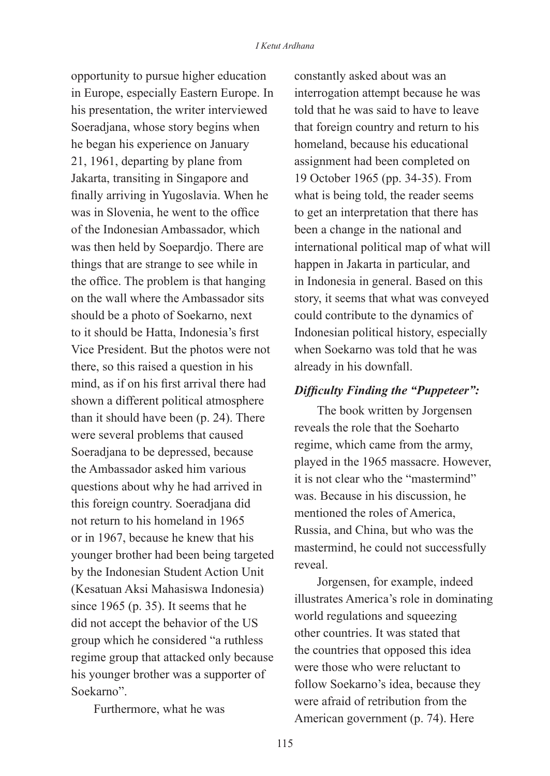opportunity to pursue higher education in Europe, especially Eastern Europe. In his presentation, the writer interviewed Soeradjana, whose story begins when he began his experience on January 21, 1961, departing by plane from Jakarta, transiting in Singapore and finally arriving in Yugoslavia. When he was in Slovenia, he went to the office of the Indonesian Ambassador, which was then held by Soepardjo. There are things that are strange to see while in the office. The problem is that hanging on the wall where the Ambassador sits should be a photo of Soekarno, next to it should be Hatta, Indonesia's first Vice President. But the photos were not there, so this raised a question in his mind, as if on his first arrival there had shown a different political atmosphere than it should have been (p. 24). There were several problems that caused Soeradjana to be depressed, because the Ambassador asked him various questions about why he had arrived in this foreign country. Soeradjana did not return to his homeland in 1965 or in 1967, because he knew that his younger brother had been being targeted by the Indonesian Student Action Unit (Kesatuan Aksi Mahasiswa Indonesia) since 1965 (p. 35). It seems that he did not accept the behavior of the US group which he considered "a ruthless regime group that attacked only because his younger brother was a supporter of Soekarno".

Furthermore, what he was

constantly asked about was an interrogation attempt because he was told that he was said to have to leave that foreign country and return to his homeland, because his educational assignment had been completed on 19 October 1965 (pp. 34-35). From what is being told, the reader seems to get an interpretation that there has been a change in the national and international political map of what will happen in Jakarta in particular, and in Indonesia in general. Based on this story, it seems that what was conveyed could contribute to the dynamics of Indonesian political history, especially when Soekarno was told that he was already in his downfall.

#### *Difficulty Finding the "Puppeteer":*

The book written by Jorgensen reveals the role that the Soeharto regime, which came from the army, played in the 1965 massacre. However, it is not clear who the "mastermind" was. Because in his discussion, he mentioned the roles of America, Russia, and China, but who was the mastermind, he could not successfully reveal.

Jorgensen, for example, indeed illustrates America's role in dominating world regulations and squeezing other countries. It was stated that the countries that opposed this idea were those who were reluctant to follow Soekarno's idea, because they were afraid of retribution from the American government (p. 74). Here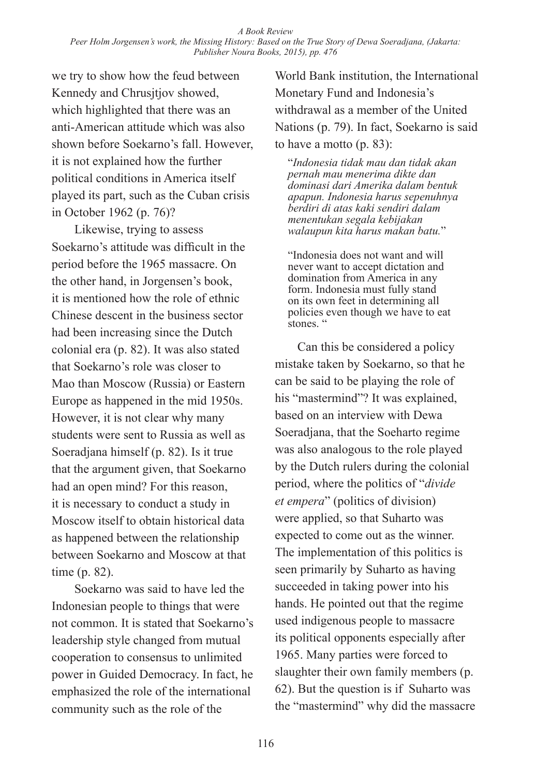we try to show how the feud between Kennedy and Chrusitiov showed. which highlighted that there was an anti-American attitude which was also shown before Soekarno's fall. However, it is not explained how the further political conditions in America itself played its part, such as the Cuban crisis in October 1962 (p. 76)?

Likewise, trying to assess Soekarno's attitude was difficult in the period before the 1965 massacre. On the other hand, in Jorgensen's book, it is mentioned how the role of ethnic Chinese descent in the business sector had been increasing since the Dutch colonial era (p. 82). It was also stated that Soekarno's role was closer to Mao than Moscow (Russia) or Eastern Europe as happened in the mid 1950s. However, it is not clear why many students were sent to Russia as well as Soeradjana himself (p. 82). Is it true that the argument given, that Soekarno had an open mind? For this reason, it is necessary to conduct a study in Moscow itself to obtain historical data as happened between the relationship between Soekarno and Moscow at that time (p. 82).

Soekarno was said to have led the Indonesian people to things that were not common. It is stated that Soekarno's leadership style changed from mutual cooperation to consensus to unlimited power in Guided Democracy. In fact, he emphasized the role of the international community such as the role of the

World Bank institution, the International Monetary Fund and Indonesia's withdrawal as a member of the United Nations (p. 79). In fact, Soekarno is said to have a motto (p. 83):

"*Indonesia tidak mau dan tidak akan pernah mau menerima dikte dan dominasi dari Amerika dalam bentuk apapun. Indonesia harus sepenuhnya berdiri di atas kaki sendiri dalam menentukan segala kebijakan walaupun kita harus makan batu.*"

"Indonesia does not want and will never want to accept dictation and domination from America in any form. Indonesia must fully stand on its own feet in determining all policies even though we have to eat stones."

Can this be considered a policy mistake taken by Soekarno, so that he can be said to be playing the role of his "mastermind"? It was explained, based on an interview with Dewa Soeradjana, that the Soeharto regime was also analogous to the role played by the Dutch rulers during the colonial period, where the politics of "*divide et empera*" (politics of division) were applied, so that Suharto was expected to come out as the winner. The implementation of this politics is seen primarily by Suharto as having succeeded in taking power into his hands. He pointed out that the regime used indigenous people to massacre its political opponents especially after 1965. Many parties were forced to slaughter their own family members (p. 62). But the question is if Suharto was the "mastermind" why did the massacre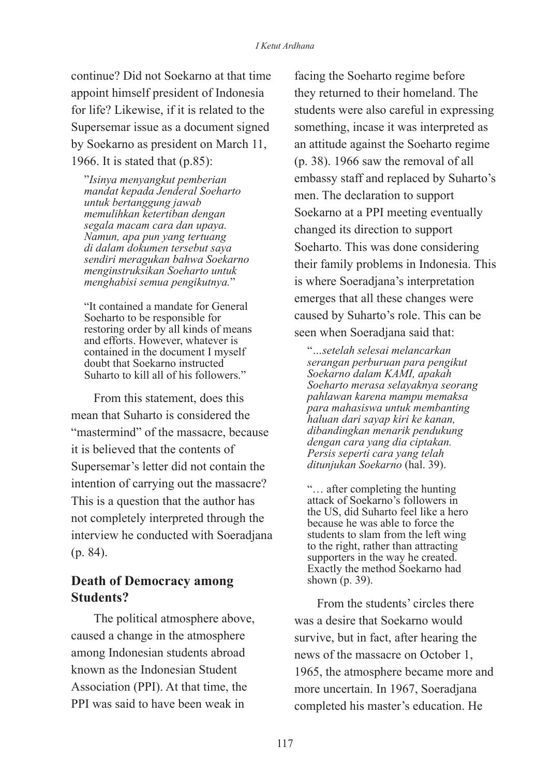continue? Did not Soekarno at that time appoint himself president of Indonesia for life? Likewise, if it is related to the Supersemar issue as a document signed by Soekarno as president on March 11, 1966. It is stated that (p.85):

"*Isinya menyangkut pemberian mandat kepada Jenderal Soeharto untuk bertanggung jawab memulihkan ketertiban dengan segala macam cara dan upaya. Namun, apa pun yang tertuang di dalam dokumen tersebut saya sendiri meragukan bahwa Soekarno menginstruksikan Soeharto untuk menghabisi semua pengikutnya.*"

"It contained a mandate for General Soeharto to be responsible for restoring order by all kinds of means and efforts. However, whatever is contained in the document I myself doubt that Soekarno instructed Suharto to kill all of his followers."

From this statement, does this mean that Suharto is considered the "mastermind" of the massacre, because it is believed that the contents of Supersemar's letter did not contain the intention of carrying out the massacre? This is a question that the author has not completely interpreted through the interview he conducted with Soeradjana (p. 84).

## **Death of Democracy among Students?**

The political atmosphere above, caused a change in the atmosphere among Indonesian students abroad known as the Indonesian Student Association (PPI). At that time, the PPI was said to have been weak in

facing the Soeharto regime before they returned to their homeland. The students were also careful in expressing something, incase it was interpreted as an attitude against the Soeharto regime (p. 38). 1966 saw the removal of all embassy staff and replaced by Suharto's men. The declaration to support Soekarno at a PPI meeting eventually changed its direction to support Soeharto. This was done considering their family problems in Indonesia. This is where Soeradjana's interpretation emerges that all these changes were caused by Suharto's role. This can be seen when Soeradjana said that:

"*…setelah selesai melancarkan serangan perburuan para pengikut Soekarno dalam KAMI, apakah Soeharto merasa selayaknya seorang pahlawan karena mampu memaksa para mahasiswa untuk membanting haluan dari sayap kiri ke kanan, dibandingkan menarik pendukung dengan cara yang dia ciptakan. Persis seperti cara yang telah ditunjukan Soekarno* (hal. 39).

"… after completing the hunting attack of Soekarno's followers in the US, did Suharto feel like a hero because he was able to force the students to slam from the left wing to the right, rather than attracting supporters in the way he created. Exactly the method Soekarno had shown (p. 39).

From the students' circles there was a desire that Soekarno would survive, but in fact, after hearing the news of the massacre on October 1, 1965, the atmosphere became more and more uncertain. In 1967, Soeradjana completed his master's education. He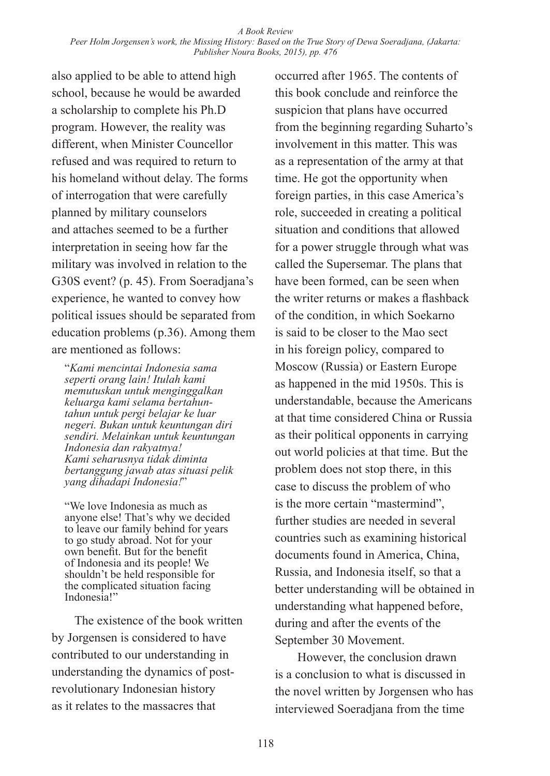also applied to be able to attend high school, because he would be awarded a scholarship to complete his Ph.D program. However, the reality was different, when Minister Councellor refused and was required to return to his homeland without delay. The forms of interrogation that were carefully planned by military counselors and attaches seemed to be a further interpretation in seeing how far the military was involved in relation to the G30S event? (p. 45). From Soeradjana's experience, he wanted to convey how political issues should be separated from education problems (p.36). Among them are mentioned as follows:

"*Kami mencintai Indonesia sama seperti orang lain! Itulah kami memutuskan untuk menginggalkan keluarga kami selama bertahuntahun untuk pergi belajar ke luar negeri. Bukan untuk keuntungan diri sendiri. Melainkan untuk keuntungan Indonesia dan rakyatnya! Kami seharusnya tidak diminta bertanggung jawab atas situasi pelik yang dihadapi Indonesia!*"

"We love Indonesia as much as anyone else! That's why we decided to leave our family behind for years to go study abroad. Not for your own benefit. But for the benefit of Indonesia and its people! We shouldn't be held responsible for the complicated situation facing Indonesia!"

The existence of the book written by Jorgensen is considered to have contributed to our understanding in understanding the dynamics of postrevolutionary Indonesian history as it relates to the massacres that

occurred after 1965. The contents of this book conclude and reinforce the suspicion that plans have occurred from the beginning regarding Suharto's involvement in this matter. This was as a representation of the army at that time. He got the opportunity when foreign parties, in this case America's role, succeeded in creating a political situation and conditions that allowed for a power struggle through what was called the Supersemar. The plans that have been formed, can be seen when the writer returns or makes a flashback of the condition, in which Soekarno is said to be closer to the Mao sect in his foreign policy, compared to Moscow (Russia) or Eastern Europe as happened in the mid 1950s. This is understandable, because the Americans at that time considered China or Russia as their political opponents in carrying out world policies at that time. But the problem does not stop there, in this case to discuss the problem of who is the more certain "mastermind", further studies are needed in several countries such as examining historical documents found in America, China, Russia, and Indonesia itself, so that a better understanding will be obtained in understanding what happened before, during and after the events of the September 30 Movement.

However, the conclusion drawn is a conclusion to what is discussed in the novel written by Jorgensen who has interviewed Soeradjana from the time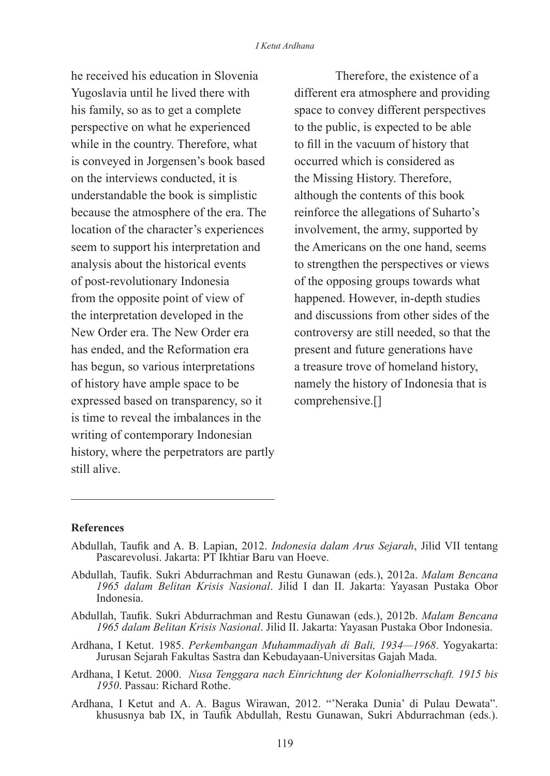he received his education in Slovenia Yugoslavia until he lived there with his family, so as to get a complete perspective on what he experienced while in the country. Therefore, what is conveyed in Jorgensen's book based on the interviews conducted, it is understandable the book is simplistic because the atmosphere of the era. The location of the character's experiences seem to support his interpretation and analysis about the historical events of post-revolutionary Indonesia from the opposite point of view of the interpretation developed in the New Order era. The New Order era has ended, and the Reformation era has begun, so various interpretations of history have ample space to be expressed based on transparency, so it is time to reveal the imbalances in the writing of contemporary Indonesian history, where the perpetrators are partly still alive.

Therefore, the existence of a different era atmosphere and providing space to convey different perspectives to the public, is expected to be able to fill in the vacuum of history that occurred which is considered as the Missing History. Therefore, although the contents of this book reinforce the allegations of Suharto's involvement, the army, supported by the Americans on the one hand, seems to strengthen the perspectives or views of the opposing groups towards what happened. However, in-depth studies and discussions from other sides of the controversy are still needed, so that the present and future generations have a treasure trove of homeland history, namely the history of Indonesia that is comprehensive.[]

#### **References**

- Abdullah, Taufik and A. B. Lapian, 2012. *Indonesia dalam Arus Sejarah*, Jilid VII tentang Pascarevolusi. Jakarta: PT Ikhtiar Baru van Hoeve.
- Abdullah, Taufik. Sukri Abdurrachman and Restu Gunawan (eds.), 2012a. *Malam Bencana 1965 dalam Belitan Krisis Nasional*. Jilid I dan II. Jakarta: Yayasan Pustaka Obor Indonesia.
- Abdullah, Taufik. Sukri Abdurrachman and Restu Gunawan (eds.), 2012b. *Malam Bencana 1965 dalam Belitan Krisis Nasional*. Jilid II. Jakarta: Yayasan Pustaka Obor Indonesia.
- Ardhana, I Ketut. 1985. *Perkembangan Muhammadiyah di Bali, 1934—1968*. Yogyakarta: Jurusan Sejarah Fakultas Sastra dan Kebudayaan-Universitas Gajah Mada.
- Ardhana, I Ketut. 2000. *Nusa Tenggara nach Einrichtung der Kolonialherrschaft. 1915 bis 1950*. Passau: Richard Rothe.
- Ardhana, I Ketut and A. A. Bagus Wirawan, 2012. "'Neraka Dunia' di Pulau Dewata". khususnya bab IX, in Taufik Abdullah, Restu Gunawan, Sukri Abdurrachman (eds.).